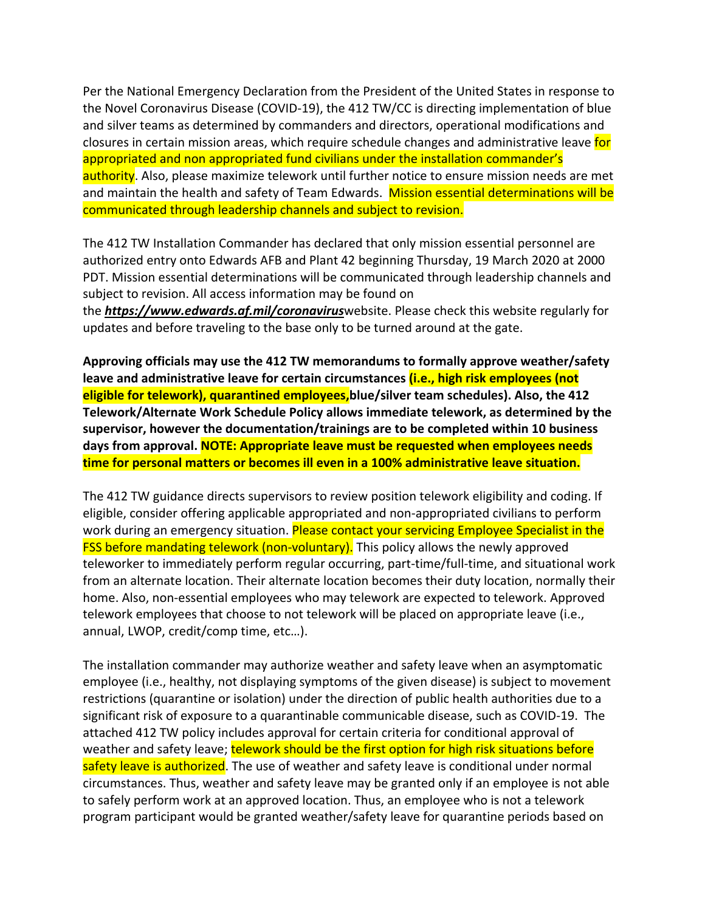Per the National Emergency Declaration from the President of the United States in response to the Novel Coronavirus Disease (COVID-19), the 412 TW/CC is directing implementation of blue and silver teams as determined by commanders and directors, operational modifications and closures in certain mission areas, which require schedule changes and administrative leave for appropriated and non appropriated fund civilians under the installation commander's authority. Also, please maximize telework until further notice to ensure mission needs are met and maintain the health and safety of Team Edwards. Mission essential determinations will be communicated through leadership channels and subject to revision.

The 412 TW Installation Commander has declared that only mission essential personnel are authorized entry onto Edwards AFB and Plant 42 beginning Thursday, 19 March 2020 at 2000 PDT. Mission essential determinations will be communicated through leadership channels and subject to revision. All access information may be found on the *<https://www.edwards.af.mil/coronavirus>*website. Please check this website regularly for updates and before traveling to the base only to be turned around at the gate.

**Approving officials may use the 412 TW memorandums to formally approve weather/safety leave and administrative leave for certain circumstances (i.e., high risk employees (not eligible for telework), quarantined employees,blue/silver team schedules). Also, the 412 Telework/Alternate Work Schedule Policy allows immediate telework, as determined by the supervisor, however the documentation/trainings are to be completed within 10 business days from approval. NOTE: Appropriate leave must be requested when employees needs time for personal matters or becomes ill even in a 100% administrative leave situation.**

The 412 TW guidance directs supervisors to review position telework eligibility and coding. If eligible, consider offering applicable appropriated and non-appropriated civilians to perform work during an emergency situation. Please contact your servicing Employee Specialist in the FSS before mandating telework (non-voluntary). This policy allows the newly approved teleworker to immediately perform regular occurring, part-time/full-time, and situational work from an alternate location. Their alternate location becomes their duty location, normally their home. Also, non-essential employees who may telework are expected to telework. Approved telework employees that choose to not telework will be placed on appropriate leave (i.e., annual, LWOP, credit/comp time, etc…).

The installation commander may authorize weather and safety leave when an asymptomatic employee (i.e., healthy, not displaying symptoms of the given disease) is subject to movement restrictions (quarantine or isolation) under the direction of public health authorities due to a significant risk of exposure to a quarantinable communicable disease, such as COVID-19. The attached 412 TW policy includes approval for certain criteria for conditional approval of weather and safety leave; telework should be the first option for high risk situations before safety leave is authorized. The use of weather and safety leave is conditional under normal circumstances. Thus, weather and safety leave may be granted only if an employee is not able to safely perform work at an approved location. Thus, an employee who is not a telework program participant would be granted weather/safety leave for quarantine periods based on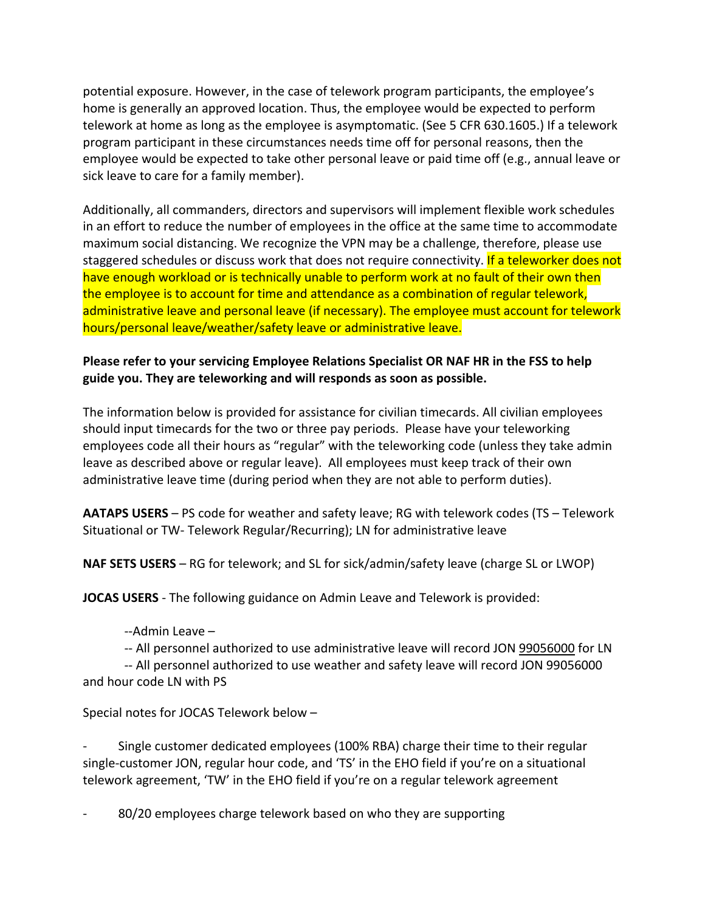potential exposure. However, in the case of telework program participants, the employee's home is generally an approved location. Thus, the employee would be expected to perform telework at home as long as the employee is asymptomatic. (See 5 CFR 630.1605.) If a telework program participant in these circumstances needs time off for personal reasons, then the employee would be expected to take other personal leave or paid time off (e.g., annual leave or sick leave to care for a family member).

Additionally, all commanders, directors and supervisors will implement flexible work schedules in an effort to reduce the number of employees in the office at the same time to accommodate maximum social distancing. We recognize the VPN may be a challenge, therefore, please use staggered schedules or discuss work that does not require connectivity. If a teleworker does not have enough workload or is technically unable to perform work at no fault of their own then the employee is to account for time and attendance as a combination of regular telework, administrative leave and personal leave (if necessary). The employee must account for telework hours/personal leave/weather/safety leave or administrative leave.

## **Please refer to your servicing Employee Relations Specialist OR NAF HR in the FSS to help guide you. They are teleworking and will responds as soon as possible.**

The information below is provided for assistance for civilian timecards. All civilian employees should input timecards for the two or three pay periods. Please have your teleworking employees code all their hours as "regular" with the teleworking code (unless they take admin leave as described above or regular leave). All employees must keep track of their own administrative leave time (during period when they are not able to perform duties).

**AATAPS USERS** – PS code for weather and safety leave; RG with telework codes (TS – Telework Situational or TW- Telework Regular/Recurring); LN for administrative leave

**NAF SETS USERS** – RG for telework; and SL for sick/admin/safety leave (charge SL or LWOP)

**JOCAS USERS** - The following guidance on Admin Leave and Telework is provided:

--Admin Leave –

-- All personnel authorized to use administrative leave will record JON [99056000](tel:99056000) for LN

-- All personnel authorized to use weather and safety leave will record JON 99056000 and hour code LN with PS

Special notes for JOCAS Telework below –

- Single customer dedicated employees (100% RBA) charge their time to their regular single-customer JON, regular hour code, and 'TS' in the EHO field if you're on a situational telework agreement, 'TW' in the EHO field if you're on a regular telework agreement

80/20 employees charge telework based on who they are supporting